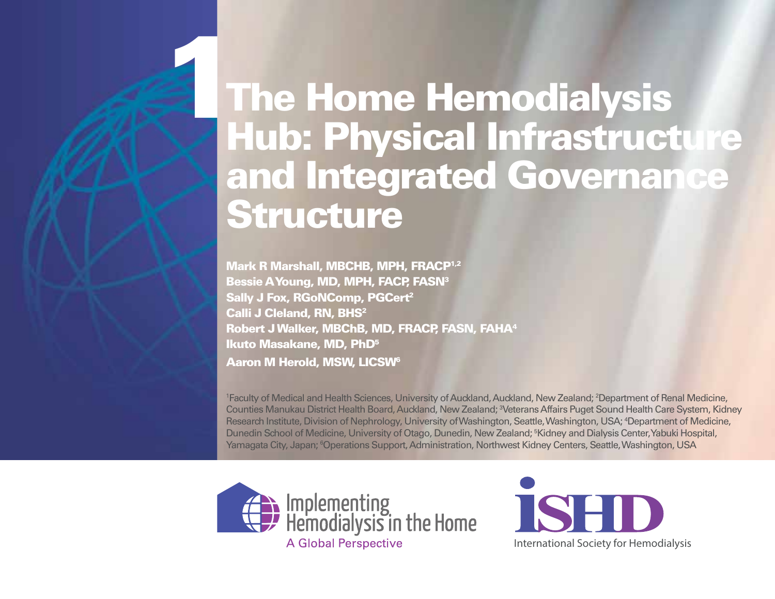# The Home Hemodialysis Hub: Physical Infrastructure and Integrated Governance Structure 5

Mark R Marshall, MBCHB, MPH, FRACP1,2 Bessie A Young, MD, MPH, FACP, FASN3 Sally J Fox, RGoNComp, PGCert<sup>2</sup> Calli J Cleland, RN, BHS<sup>2</sup> Robert J Walker, MBChB, MD, FRACP, FASN, FAHA4 Ikuto Masakane, MD, PhD<sup>5</sup> Aaron M Herold, MSW, LICSW6

1 Faculty of Medical and Health Sciences, University of Auckland, Auckland, New Zealand; 2 Department of Renal Medicine, Counties Manukau District Health Board, Auckland, New Zealand; <sup>3</sup>Veterans Affairs Puget Sound Health Care System, Kidney Research Institute, Division of Nephrology, University of Washington, Seattle, Washington, USA; 4 Department of Medicine, Dunedin School of Medicine, University of Otago, Dunedin, New Zealand; 5 Kidney and Dialysis Center, Yabuki Hospital, Yamagata City, Japan; <sup>6</sup>Operations Support, Administration, Northwest Kidney Centers, Seattle, Washington, USA



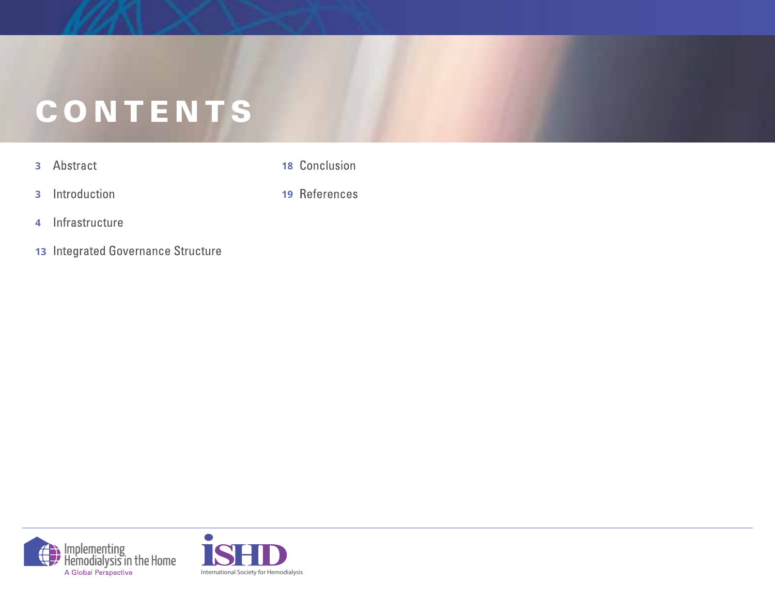# CONTENTS

Abstract **3**

2

Introduction **3**

18 Conclusion

**19**

Infrastructure and Governance and Governance and Governance and Governance

- 
- Infrastructure **4**
- **13** Integrated Governance Structure



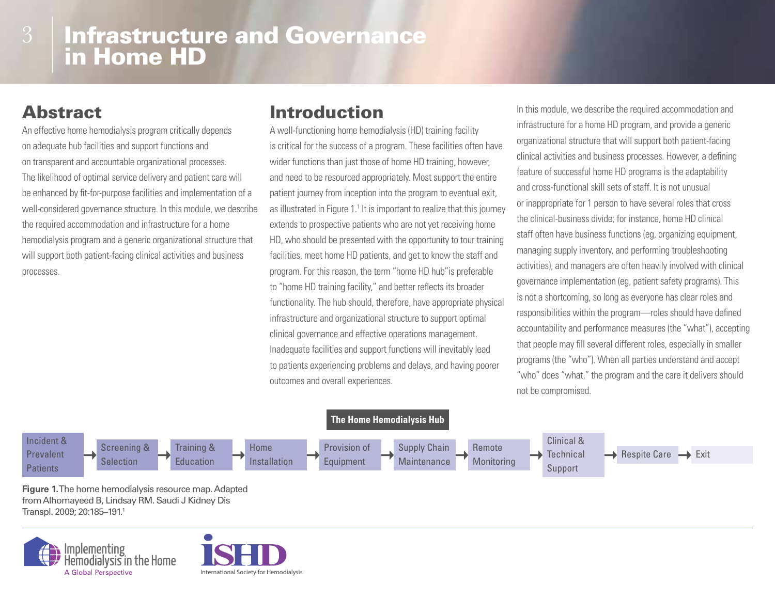### Abstract

An effective home hemodialysis program critically depends on adequate hub facilities and support functions and on transparent and accountable organizational processes. The likelihood of optimal service delivery and patient care will be enhanced by fit-for-purpose facilities and implementation of a well-considered governance structure. In this module, we describe the required accommodation and infrastructure for a home hemodialysis program and a generic organizational structure that will support both patient-facing clinical activities and business processes.

### Introduction

A well-functioning home hemodialysis (HD) training facility is critical for the success of a program. These facilities often have wider functions than just those of home HD training, however, and need to be resourced appropriately. Most support the entire patient journey from inception into the program to eventual exit, as illustrated in Figure 1.<sup>1</sup> It is important to realize that this journey extends to prospective patients who are not yet receiving home HD, who should be presented with the opportunity to tour training facilities, meet home HD patients, and get to know the staff and program. For this reason, the term "home HD hub"is preferable to "home HD training facility," and better reflects its broader functionality. The hub should, therefore, have appropriate physical infrastructure and organizational structure to support optimal clinical governance and effective operations management. Inadequate facilities and support functions will inevitably lead to patients experiencing problems and delays, and having poorer outcomes and overall experiences.

In this module, we describe the required accommodation and infrastructure for a home HD program, and provide a generic organizational structure that will support both patient-facing clinical activities and business processes. However, a defining feature of successful home HD programs is the adaptability and cross-functional skill sets of staff. It is not unusual or inappropriate for 1 person to have several roles that cross the clinical-business divide; for instance, home HD clinical staff often have business functions (eg, organizing equipment, managing supply inventory, and performing troubleshooting activities), and managers are often heavily involved with clinical governance implementation (eg, patient safety programs). This is not a shortcoming, so long as everyone has clear roles and responsibilities within the program—roles should have defined accountability and performance measures (the "what"), accepting that people may fill several different roles, especially in smaller programs (the "who"). When all parties understand and accept "who" does "what," the program and the care it delivers should not be compromised.



**Figure 1.** The home hemodialysis resource map. Adapted from Alhomayeed B, Lindsay RM. Saudi J Kidney Dis Transpl. 2009; 20:185–191.1



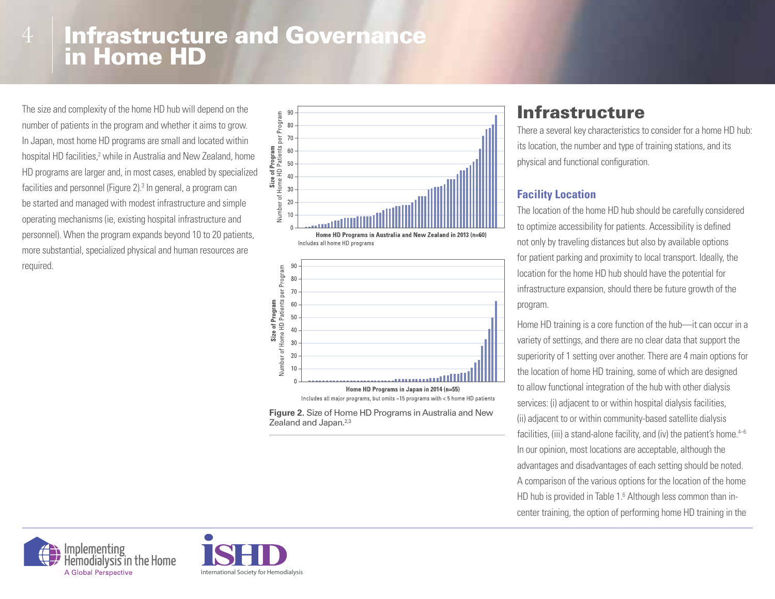The size and complexity of the home HD hub will depend on the number of patients in the program and whether it aims to grow. In Japan, most home HD programs are small and located within hospital HD facilities,<sup>2</sup> while in Australia and New Zealand, home HD programs are larger and, in most cases, enabled by specialized facilities and personnel (Figure 2).<sup>3</sup> In general, a program can be started and managed with modest infrastructure and simple operating mechanisms (ie, existing hospital infrastructure and personnel). When the program expands beyond 10 to 20 patients, more substantial, specialized physical and human resources are required.







### Infrastructure

There a several key characteristics to consider for a home HD hub: its location, the number and type of training stations, and its physical and functional configuration.

#### **Facility Location**

The location of the home HD hub should be carefully considered to optimize accessibility for patients. Accessibility is defined not only by traveling distances but also by available options for patient parking and proximity to local transport. Ideally, the location for the home HD hub should have the potential for infrastructure expansion, should there be future growth of the program.

Home HD training is a core function of the hub—it can occur in a variety of settings, and there are no clear data that support the superiority of 1 setting over another. There are 4 main options for the location of home HD training, some of which are designed to allow functional integration of the hub with other dialysis services: (i) adjacent to or within hospital dialysis facilities, (ii) adjacent to or within community-based satellite dialysis facilities, (iii) a stand-alone facility, and (iv) the patient's home. $4-6$ In our opinion, most locations are acceptable, although the advantages and disadvantages of each setting should be noted. A comparison of the various options for the location of the home HD hub is provided in Table 1.<sup>6</sup> Although less common than incenter training, the option of performing home HD training in the



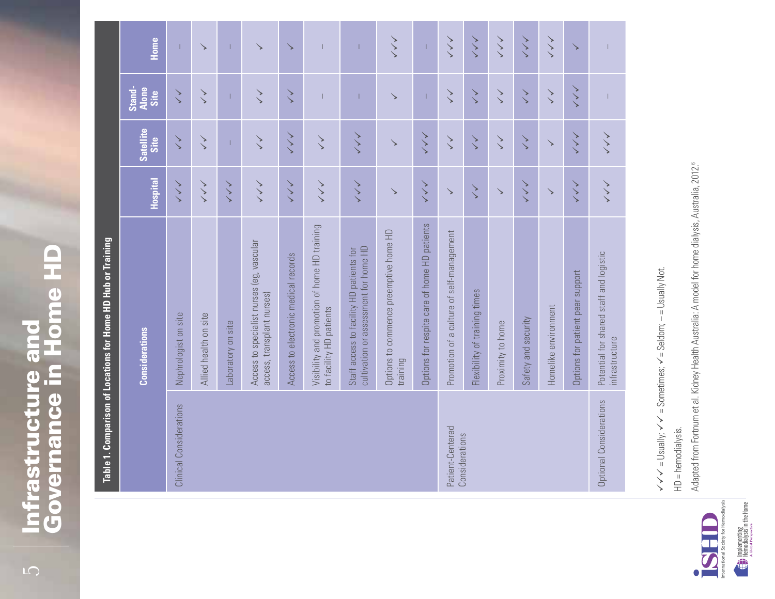Infrastructure and<br>Governance in Home HD Governance in Home HD Infrastructure and

|                                    | Table 1. Comparison of Locations for Home HD Hub or Training                      |          |                          |                                |      |
|------------------------------------|-----------------------------------------------------------------------------------|----------|--------------------------|--------------------------------|------|
|                                    | <b>Considerations</b>                                                             | Hospital | <b>Satellite</b><br>Site | Stand-<br><b>Alone</b><br>Site | Home |
| Clinical Considerations            | Nephrologist on site                                                              | ンンノ      | ン                        | ン                              |      |
|                                    | Allied health on site                                                             | ンンノ      | ンン                       | $\searrow$                     | ↘    |
|                                    | Laboratory on site                                                                | ンンノ      |                          |                                |      |
|                                    | Access to specialist nurses (eg, vascular<br>access, transplant nurses)           | ンンノ      | ンノ                       | ンン                             | ↘    |
|                                    | Access to electronic medical records                                              | ンンプ      | ンンノ                      | $\checkmark$                   | ↘    |
|                                    | Visibility and promotion of home HD training<br>to facility HD patients           | ノノノ      | ン                        | ı                              | ı    |
|                                    | cultivation or assessment for home HD<br>Staff access to facility HD patients for | ンンノ      | ンンノ                      |                                |      |
|                                    | Options to commence preemptive home HD<br>training                                | ↘        | ↘                        | ↘                              | ンンノ  |
|                                    | Options for respite care of home HD patients                                      | ンンノ      | ンンノ                      |                                |      |
| Patient-Centered<br>Considerations | Promotion of a culture of self-management                                         | ↘        | ン                        | ン                              | ンンノ  |
|                                    | Flexibility of training times                                                     | ン        | ン                        | ン                              | ンンノ  |
|                                    | Proximity to home                                                                 | ↘        | ン                        | ン                              | ンンノ  |
|                                    | Safety and security                                                               | ンンノ      | ンノ                       | ン                              | ンンノ  |
|                                    | Homelike environment                                                              | ↘        | $\checkmark$             | $\searrow$                     | ンノノ  |
|                                    | Options for patient peer support                                                  | ンンノ      | ンンノ                      | ンンノ                            | ↘    |
| Optional Considerations            | Potential for shared staff and logistic<br>infrastructure                         | ンンノ      | ンンノ                      |                                |      |

 $\sqrt{\checkmark}$  = Usually;  $\checkmark$  = Sometimes;  $\checkmark$  = Seldom; - = Usually Not.  $\checkmark$   $\checkmark$  = Usually;  $\checkmark$   $\checkmark$  = Sometimes;  $\checkmark$  = Seldom; – = Usually Not.

 $HD = hemodialysis.$ HD = hemodialysis. Adapted from Fortnum et al. Kidney Health Australia: A model for home dialysis, Australia, 2012.<sup>6</sup> Adapted from Fortnum et al. Kidney Health Australia: A model for home dialysis, Australia, 2012.6

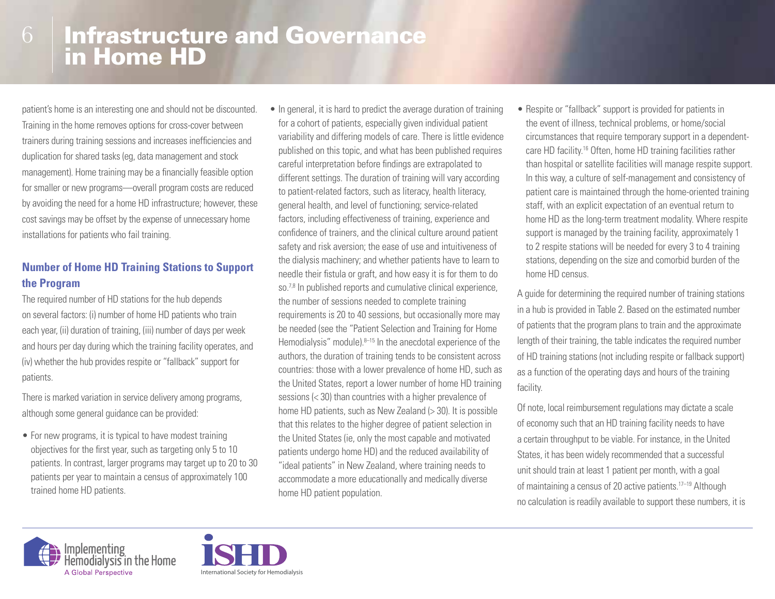patient's home is an interesting one and should not be discounted. Training in the home removes options for cross-cover between trainers during training sessions and increases inefficiencies and duplication for shared tasks (eg, data management and stock management). Home training may be a financially feasible option for smaller or new programs—overall program costs are reduced by avoiding the need for a home HD infrastructure; however, these cost savings may be offset by the expense of unnecessary home installations for patients who fail training.

#### **Number of Home HD Training Stations to Support the Program**

The required number of HD stations for the hub depends on several factors: (i) number of home HD patients who train each year, (ii) duration of training, (iii) number of days per week and hours per day during which the training facility operates, and (iv) whether the hub provides respite or "fallback" support for patients.

There is marked variation in service delivery among programs, although some general guidance can be provided:

- For new programs, it is typical to have modest training objectives for the first year, such as targeting only 5 to 10 patients. In contrast, larger programs may target up to 20 to 30 patients per year to maintain a census of approximately 100 trained home HD patients.
- In general, it is hard to predict the average duration of training for a cohort of patients, especially given individual patient variability and differing models of care. There is little evidence published on this topic, and what has been published requires careful interpretation before findings are extrapolated to different settings. The duration of training will vary according to patient-related factors, such as literacy, health literacy, general health, and level of functioning; service-related factors, including effectiveness of training, experience and confidence of trainers, and the clinical culture around patient safety and risk aversion; the ease of use and intuitiveness of the dialysis machinery; and whether patients have to learn to needle their fistula or graft, and how easy it is for them to do so.<sup>7,8</sup> In published reports and cumulative clinical experience, the number of sessions needed to complete training requirements is 20 to 40 sessions, but occasionally more may be needed (see the "Patient Selection and Training for Home Hemodialysis" module).<sup>8-15</sup> In the anecdotal experience of the authors, the duration of training tends to be consistent across countries: those with a lower prevalence of home HD, such as the United States, report a lower number of home HD training sessions (< 30) than countries with a higher prevalence of home HD patients, such as New Zealand (> 30). It is possible that this relates to the higher degree of patient selection in the United States (ie, only the most capable and motivated patients undergo home HD) and the reduced availability of "ideal patients" in New Zealand, where training needs to accommodate a more educationally and medically diverse home HD patient population.
- Respite or "fallback" support is provided for patients in the event of illness, technical problems, or home/social circumstances that require temporary support in a dependentcare HD facility.16 Often, home HD training facilities rather than hospital or satellite facilities will manage respite support. In this way, a culture of self-management and consistency of patient care is maintained through the home-oriented training staff, with an explicit expectation of an eventual return to home HD as the long-term treatment modality. Where respite support is managed by the training facility, approximately 1 to 2 respite stations will be needed for every 3 to 4 training stations, depending on the size and comorbid burden of the home HD census.

A guide for determining the required number of training stations in a hub is provided in Table 2. Based on the estimated number of patients that the program plans to train and the approximate length of their training, the table indicates the required number of HD training stations (not including respite or fallback support) as a function of the operating days and hours of the training facility.

Of note, local reimbursement regulations may dictate a scale of economy such that an HD training facility needs to have a certain throughput to be viable. For instance, in the United States, it has been widely recommended that a successful unit should train at least 1 patient per month, with a goal of maintaining a census of 20 active patients.17–19 Although no calculation is readily available to support these numbers, it is



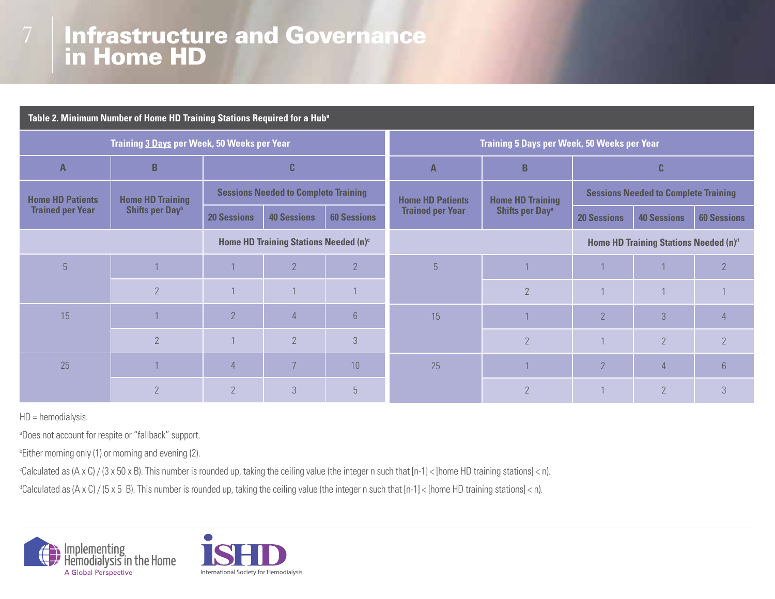| Table 2. Minimum Number of Home HD Training Stations Required for a Hub <sup>a</sup> |                                             |                                             |                                                   |                    |                                             |                                    |                    |                                             |                    |  |
|--------------------------------------------------------------------------------------|---------------------------------------------|---------------------------------------------|---------------------------------------------------|--------------------|---------------------------------------------|------------------------------------|--------------------|---------------------------------------------|--------------------|--|
|                                                                                      | Training 3 Days per Week, 50 Weeks per Year |                                             |                                                   |                    | Training 5 Days per Week, 50 Weeks per Year |                                    |                    |                                             |                    |  |
| $\overline{A}$                                                                       | B                                           | C                                           |                                                   | $\mathbf{A}$       | B                                           |                                    | C                  |                                             |                    |  |
| <b>Home HD Patients</b>                                                              | <b>Home HD Training</b>                     | <b>Sessions Needed to Complete Training</b> |                                                   |                    | <b>Home HD Patients</b>                     | <b>Home HD Training</b>            |                    | <b>Sessions Needed to Complete Training</b> |                    |  |
| <b>Trained per Year</b>                                                              | <b>Shifts per Day</b> <sup>b</sup>          | <b>20 Sessions</b>                          | <b>40 Sessions</b>                                | <b>60 Sessions</b> | <b>Trained per Year</b>                     | <b>Shifts per Day</b> <sup>a</sup> | <b>20 Sessions</b> | <b>40 Sessions</b>                          | <b>60 Sessions</b> |  |
|                                                                                      |                                             |                                             | Home HD Training Stations Needed (n) <sup>c</sup> |                    |                                             |                                    |                    | Home HD Training Stations Needed (n)d       |                    |  |
| $\overline{5}$                                                                       |                                             |                                             | $\overline{2}$                                    | $\overline{2}$     | $5\phantom{.}$                              |                                    |                    |                                             |                    |  |
|                                                                                      | $\overline{2}$                              |                                             |                                                   |                    |                                             | $\overline{\phantom{a}}$           |                    |                                             |                    |  |
| 15                                                                                   |                                             | $\overline{2}$                              | $\overline{4}$                                    | $6\phantom{.}6$    | 15                                          |                                    | $\overline{2}$     | $\overline{3}$                              |                    |  |
|                                                                                      | $\gamma$                                    |                                             | $\overline{2}$                                    | $\mathfrak{Z}$     |                                             | $\overline{2}$                     |                    | $\overline{2}$                              |                    |  |
| 25                                                                                   |                                             | $\overline{4}$                              |                                                   | 10                 | 25                                          |                                    | $\overline{2}$     | $\overline{4}$                              | $6\phantom{.}$     |  |
|                                                                                      | $\mathcal{P}$                               | $\overline{\phantom{a}}$                    | 3                                                 | 5                  |                                             | $\overline{\phantom{a}}$           |                    | $\mathcal{P}$                               | 3                  |  |

HD = hemodialysis.

7

a Does not account for respite or "fallback" support.

**Either morning only (1) or morning and evening (2).** 

c Calculated as (A x C) / (3 x 50 x B). This number is rounded up, taking the ceiling value (the integer n such that [n-1] < [home HD training stations] < n).

d Calculated as (A x C) / (5 x 5 B). This number is rounded up, taking the ceiling value (the integer n such that [n-1] < [home HD training stations] < n).



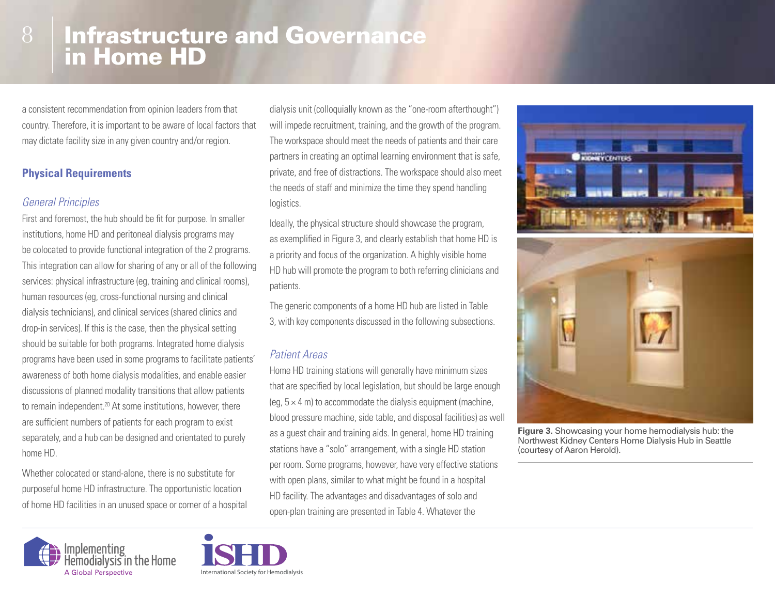a consistent recommendation from opinion leaders from that country. Therefore, it is important to be aware of local factors that may dictate facility size in any given country and/or region.

#### **Physical Requirements**

#### *General Principles*

First and foremost, the hub should be fit for purpose. In smaller institutions, home HD and peritoneal dialysis programs may be colocated to provide functional integration of the 2 programs. This integration can allow for sharing of any or all of the following services: physical infrastructure (eg, training and clinical rooms), human resources (eg, cross-functional nursing and clinical dialysis technicians), and clinical services (shared clinics and drop-in services). If this is the case, then the physical setting should be suitable for both programs. Integrated home dialysis programs have been used in some programs to facilitate patients' awareness of both home dialysis modalities, and enable easier discussions of planned modality transitions that allow patients to remain independent.<sup>20</sup> At some institutions, however, there are sufficient numbers of patients for each program to exist separately, and a hub can be designed and orientated to purely home HD.

Whether colocated or stand-alone, there is no substitute for purposeful home HD infrastructure. The opportunistic location of home HD facilities in an unused space or corner of a hospital

dialysis unit (colloquially known as the "one-room afterthought") will impede recruitment, training, and the growth of the program. The workspace should meet the needs of patients and their care partners in creating an optimal learning environment that is safe, private, and free of distractions. The workspace should also meet the needs of staff and minimize the time they spend handling logistics.

Ideally, the physical structure should showcase the program, as exemplified in Figure 3, and clearly establish that home HD is a priority and focus of the organization. A highly visible home HD hub will promote the program to both referring clinicians and patients.

The generic components of a home HD hub are listed in Table 3, with key components discussed in the following subsections.

#### *Patient Areas*

Home HD training stations will generally have minimum sizes that are specified by local legislation, but should be large enough (eg,  $5 \times 4$  m) to accommodate the dialysis equipment (machine, blood pressure machine, side table, and disposal facilities) as well as a guest chair and training aids. In general, home HD training stations have a "solo" arrangement, with a single HD station per room. Some programs, however, have very effective stations with open plans, similar to what might be found in a hospital HD facility. The advantages and disadvantages of solo and open-plan training are presented in Table 4. Whatever the





**Figure 3.** Showcasing your home hemodialysis hub: the Northwest Kidney Centers Home Dialysis Hub in Seattle (courtesy of Aaron Herold).



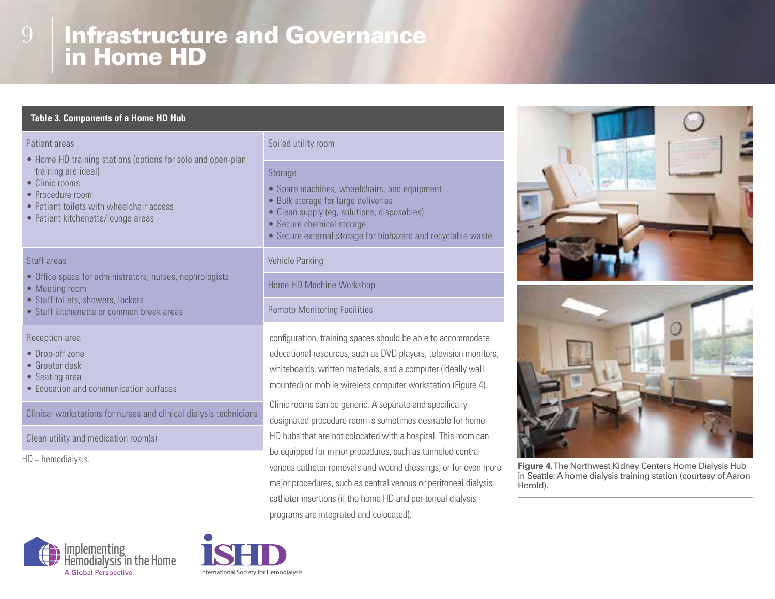#### **Table 3. Components of a Home HD Hub**

#### Patient areas

9

- Home HD training stations (options for solo and open-plan training are ideal)
- Clinic rooms
- Procedure room
- Patient toilets with wheelchair access
- Patient kitchenette/lounge areas

#### Staff areas

- Office space for administrators, nurses, nephrologists
- Meeting room
- Staff toilets, showers, lockers
- Staff kitchenette or common break areas

#### Reception area

- Drop-off zone
- Greeter desk
- Seating area
- Education and communication surfaces

Clinical workstations for nurses and clinical dialysis technicians

Clean utility and medication room(s)

HD = hemodialysis.

#### Soiled utility room

#### Storage

- Spare machines, wheelchairs, and equipment
- Bulk storage for large deliveries
- Clean supply (eg, solutions, disposables)
- Secure chemical storage
- Secure external storage for biohazard and recyclable waste

#### Vehicle Parking

#### Home HD Machine Workshop

#### Remote Monitoring Facilities

configuration, training spaces should be able to accommodate educational resources, such as DVD players, television monitors, whiteboards, written materials, and a computer (ideally wall mounted) or mobile wireless computer workstation (Figure 4).

Clinic rooms can be generic. A separate and specifically designated procedure room is sometimes desirable for home HD hubs that are not colocated with a hospital. This room can be equipped for minor procedures, such as tunneled central venous catheter removals and wound dressings, or for even more major procedures, such as central venous or peritoneal dialysis catheter insertions (if the home HD and peritoneal dialysis programs are integrated and colocated).









**Figure 4.** The Northwest Kidney Centers Home Dialysis Hub in Seattle: A home dialysis training station (courtesy of Aaron Herold).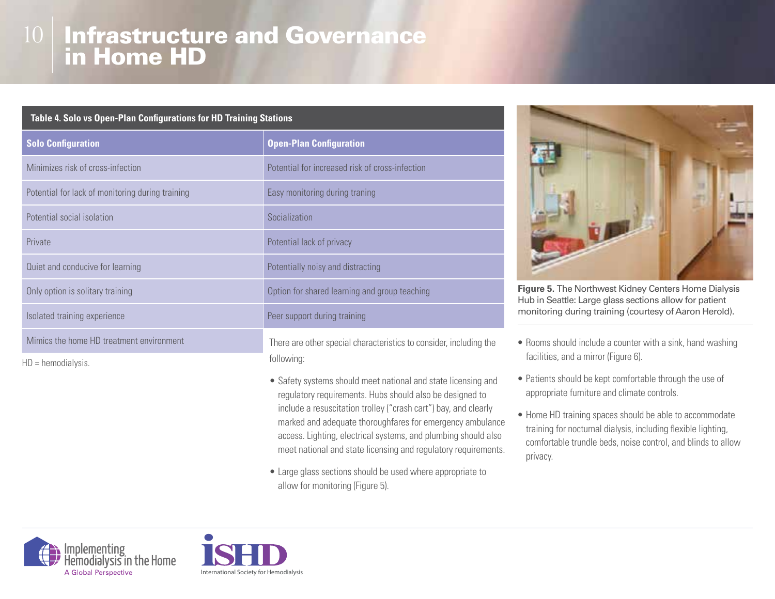| <b>Table 4. Solo vs Open-Plan Configurations for HD Training Stations</b> |                                                                                  |  |  |
|---------------------------------------------------------------------------|----------------------------------------------------------------------------------|--|--|
| <b>Solo Configuration</b>                                                 | <b>Open-Plan Configuration</b>                                                   |  |  |
| Minimizes risk of cross-infection                                         | Potential for increased risk of cross-infection                                  |  |  |
| Potential for lack of monitoring during training                          | Easy monitoring during traning                                                   |  |  |
| Potential social isolation                                                | Socialization                                                                    |  |  |
| Private                                                                   | Potential lack of privacy                                                        |  |  |
| Quiet and conducive for learning                                          | Potentially noisy and distracting                                                |  |  |
| Only option is solitary training                                          | Option for shared learning and group teaching                                    |  |  |
| Isolated training experience                                              | Peer support during training                                                     |  |  |
| Mimics the home HD treatment environment                                  | There are other special characteristics to consider, including the<br>following: |  |  |
| $HD = hemodialysis.$                                                      |                                                                                  |  |  |

- Safety systems should meet national and state licensing and regulatory requirements. Hubs should also be designed to include a resuscitation trolley ("crash cart") bay, and clearly marked and adequate thoroughfares for emergency ambulance access. Lighting, electrical systems, and plumbing should also meet national and state licensing and regulatory requirements.
- Large glass sections should be used where appropriate to allow for monitoring (Figure 5).



**Figure 5.** The Northwest Kidney Centers Home Dialysis Hub in Seattle: Large glass sections allow for patient monitoring during training (courtesy of Aaron Herold).

- Rooms should include a counter with a sink, hand washing facilities, and a mirror (Figure 6).
- Patients should be kept comfortable through the use of appropriate furniture and climate controls.
- Home HD training spaces should be able to accommodate training for nocturnal dialysis, including flexible lighting, comfortable trundle beds, noise control, and blinds to allow privacy.



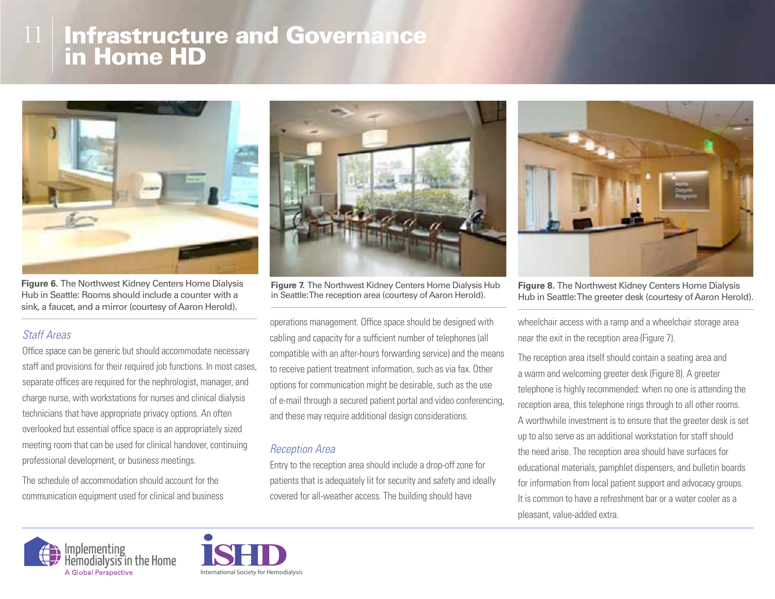

**Figure 6.** The Northwest Kidney Centers Home Dialysis Hub in Seattle: Rooms should include a counter with a sink, a faucet, and a mirror (courtesy of Aaron Herold).

#### *Staff Areas*

Office space can be generic but should accommodate necessary staff and provisions for their required job functions. In most cases, separate offices are required for the nephrologist, manager, and charge nurse, with workstations for nurses and clinical dialysis technicians that have appropriate privacy options. An often overlooked but essential office space is an appropriately sized meeting room that can be used for clinical handover, continuing professional development, or business meetings.

The schedule of accommodation should account for the communication equipment used for clinical and business



**Figure 7.** The Northwest Kidney Centers Home Dialysis Hub in Seattle: The reception area (courtesy of Aaron Herold).

operations management. Office space should be designed with cabling and capacity for a sufficient number of telephones (all compatible with an after-hours forwarding service) and the means to receive patient treatment information, such as via fax. Other options for communication might be desirable, such as the use of e-mail through a secured patient portal and video conferencing, and these may require additional design considerations.

#### *Reception Area*

Entry to the reception area should include a drop-off zone for patients that is adequately lit for security and safety and ideally covered for all-weather access. The building should have



**Figure 8.** The Northwest Kidney Centers Home Dialysis Hub in Seattle: The greeter desk (courtesy of Aaron Herold).

wheelchair access with a ramp and a wheelchair storage area near the exit in the reception area (Figure 7).

The reception area itself should contain a seating area and a warm and welcoming greeter desk (Figure 8). A greeter telephone is highly recommended: when no one is attending the reception area, this telephone rings through to all other rooms. A worthwhile investment is to ensure that the greeter desk is set up to also serve as an additional workstation for staff should the need arise. The reception area should have surfaces for educational materials, pamphlet dispensers, and bulletin boards for information from local patient support and advocacy groups. It is common to have a refreshment bar or a water cooler as a pleasant, value-added extra.



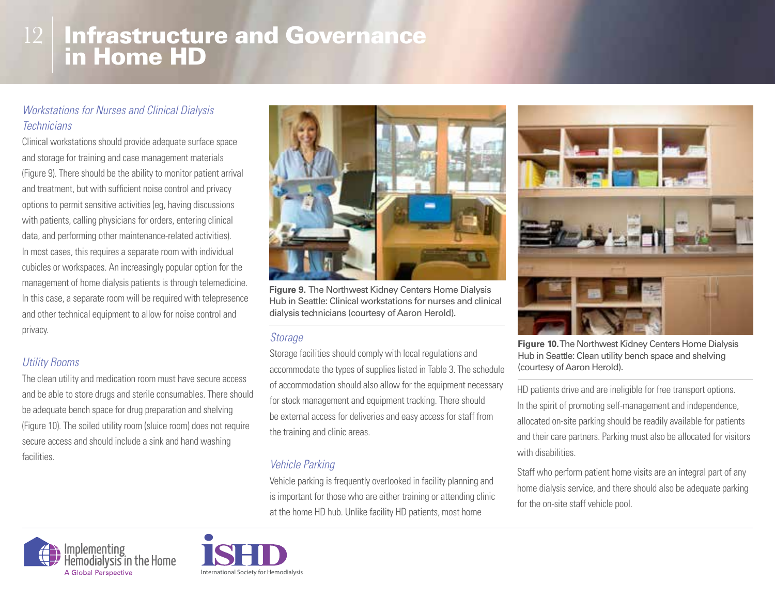#### *Workstations for Nurses and Clinical Dialysis Technicians*

Clinical workstations should provide adequate surface space and storage for training and case management materials (Figure 9). There should be the ability to monitor patient arrival and treatment, but with sufficient noise control and privacy options to permit sensitive activities (eg, having discussions with patients, calling physicians for orders, entering clinical data, and performing other maintenance-related activities). In most cases, this requires a separate room with individual cubicles or workspaces. An increasingly popular option for the management of home dialysis patients is through telemedicine. In this case, a separate room will be required with telepresence and other technical equipment to allow for noise control and privacy.

#### *Utility Rooms*

The clean utility and medication room must have secure access and be able to store drugs and sterile consumables. There should be adequate bench space for drug preparation and shelving (Figure 10). The soiled utility room (sluice room) does not require secure access and should include a sink and hand washing facilities.



**Figure 9.** The Northwest Kidney Centers Home Dialysis Hub in Seattle: Clinical workstations for nurses and clinical dialysis technicians (courtesy of Aaron Herold).

#### *Storage*

Storage facilities should comply with local regulations and accommodate the types of supplies listed in Table 3. The schedule of accommodation should also allow for the equipment necessary for stock management and equipment tracking. There should be external access for deliveries and easy access for staff from the training and clinic areas.

#### *Vehicle Parking*

Vehicle parking is frequently overlooked in facility planning and is important for those who are either training or attending clinic at the home HD hub. Unlike facility HD patients, most home



**Figure 10.** The Northwest Kidney Centers Home Dialysis Hub in Seattle: Clean utility bench space and shelving (courtesy of Aaron Herold).

HD patients drive and are ineligible for free transport options. In the spirit of promoting self-management and independence, allocated on-site parking should be readily available for patients and their care partners. Parking must also be allocated for visitors with disabilities.

Staff who perform patient home visits are an integral part of any home dialysis service, and there should also be adequate parking for the on-site staff vehicle pool.



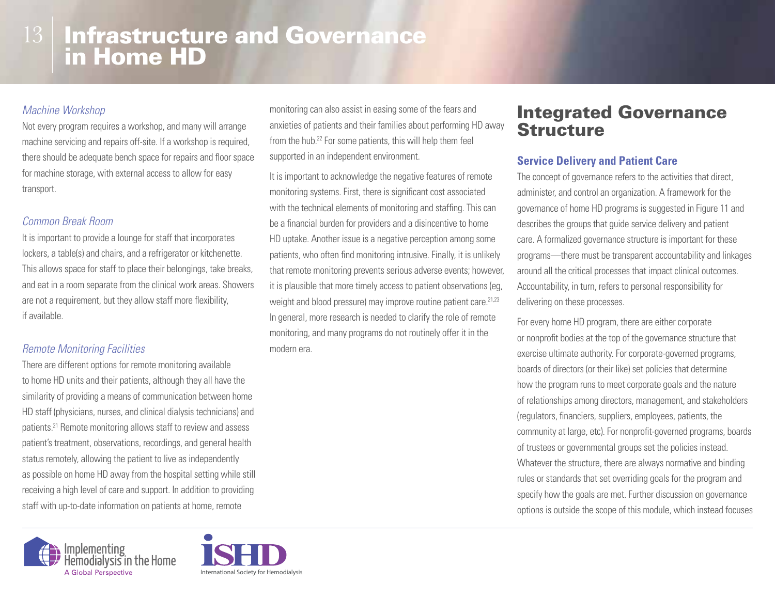#### *Machine Workshop*

Not every program requires a workshop, and many will arrange machine servicing and repairs off-site. If a workshop is required, there should be adequate bench space for repairs and floor space for machine storage, with external access to allow for easy transport.

#### *Common Break Room*

It is important to provide a lounge for staff that incorporates lockers, a table(s) and chairs, and a refrigerator or kitchenette. This allows space for staff to place their belongings, take breaks, and eat in a room separate from the clinical work areas. Showers are not a requirement, but they allow staff more flexibility, if available.

#### *Remote Monitoring Facilities*

There are different options for remote monitoring available to home HD units and their patients, although they all have the similarity of providing a means of communication between home HD staff (physicians, nurses, and clinical dialysis technicians) and patients.21 Remote monitoring allows staff to review and assess patient's treatment, observations, recordings, and general health status remotely, allowing the patient to live as independently as possible on home HD away from the hospital setting while still receiving a high level of care and support. In addition to providing staff with up-to-date information on patients at home, remote

Implementing<br>Hemodialysis in the Home Global Perspective



It is important to acknowledge the negative features of remote monitoring systems. First, there is significant cost associated with the technical elements of monitoring and staffing. This can be a financial burden for providers and a disincentive to home HD uptake. Another issue is a negative perception among some patients, who often find monitoring intrusive. Finally, it is unlikely that remote monitoring prevents serious adverse events; however, it is plausible that more timely access to patient observations (eg, weight and blood pressure) may improve routine patient care.<sup>21,23</sup> In general, more research is needed to clarify the role of remote monitoring, and many programs do not routinely offer it in the modern era.

### Integrated Governance Structure

#### **Service Delivery and Patient Care**

The concept of governance refers to the activities that direct, administer, and control an organization. A framework for the governance of home HD programs is suggested in Figure 11 and describes the groups that guide service delivery and patient care. A formalized governance structure is important for these programs—there must be transparent accountability and linkages around all the critical processes that impact clinical outcomes. Accountability, in turn, refers to personal responsibility for delivering on these processes.

For every home HD program, there are either corporate or nonprofit bodies at the top of the governance structure that exercise ultimate authority. For corporate-governed programs, boards of directors (or their like) set policies that determine how the program runs to meet corporate goals and the nature of relationships among directors, management, and stakeholders (regulators, financiers, suppliers, employees, patients, the community at large, etc). For nonprofit-governed programs, boards of trustees or governmental groups set the policies instead. Whatever the structure, there are always normative and binding rules or standards that set overriding goals for the program and specify how the goals are met. Further discussion on governance options is outside the scope of this module, which instead focuses

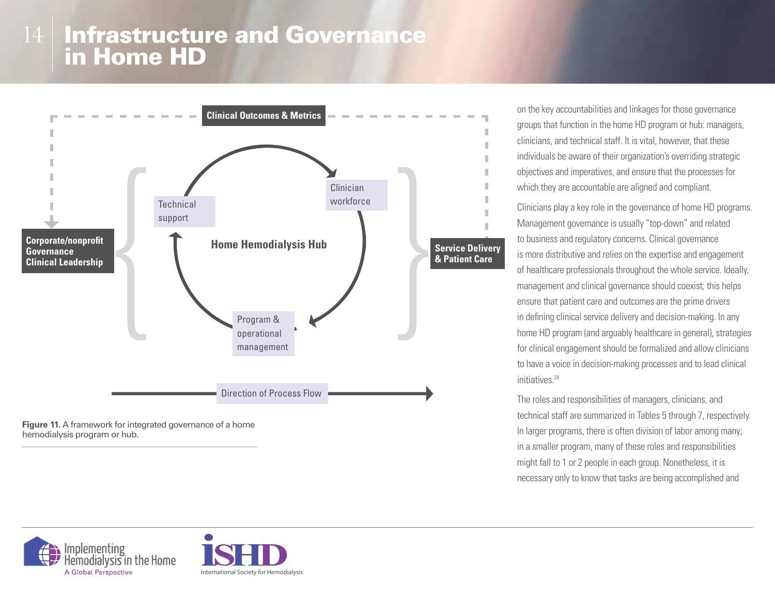

**Figure 11.** A framework for integrated governance of a home hemodialysis program or hub.

on the key accountabilities and linkages for those governance groups that function in the home HD program or hub: managers, clinicians, and technical staff. It is vital, however, that these individuals be aware of their organization's overriding strategic objectives and imperatives, and ensure that the processes for which they are accountable are aligned and compliant.

Clinicians play a key role in the governance of home HD programs. Management governance is usually "top-down" and related to business and regulatory concerns. Clinical governance is more distributive and relies on the expertise and engagement of healthcare professionals throughout the whole service. Ideally, management and clinical governance should coexist; this helps ensure that patient care and outcomes are the prime drivers in defining clinical service delivery and decision-making. In any home HD program (and arguably healthcare in general), strategies for clinical engagement should be formalized and allow clinicians to have a voice in decision-making processes and to lead clinical initiatives<sup>24</sup>

The roles and responsibilities of managers, clinicians, and technical staff are summarized in Tables 5 through 7, respectively. In larger programs, there is often division of labor among many; in a smaller program, many of these roles and responsibilities might fall to 1 or 2 people in each group. Nonetheless, it is necessary only to know that tasks are being accomplished and



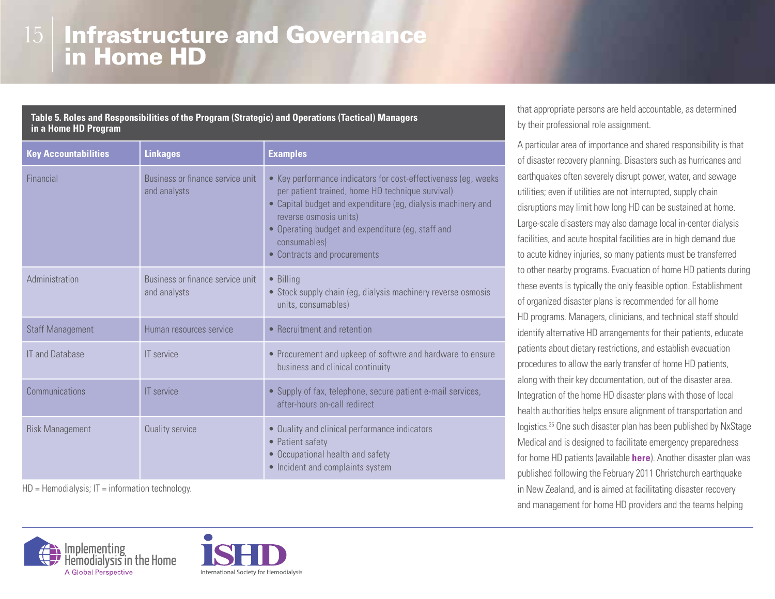#### **Table 5. Roles and Responsibilities of the Program (Strategic) and Operations (Tactical) Managers in a Home HD Program**

| <b>Key Accountabilities</b> | <b>Linkages</b>                                  | <b>Examples</b>                                                                                                                                                                                                                                                                                                   |
|-----------------------------|--------------------------------------------------|-------------------------------------------------------------------------------------------------------------------------------------------------------------------------------------------------------------------------------------------------------------------------------------------------------------------|
| Financial                   | Business or finance service unit<br>and analysts | • Key performance indicators for cost-effectiveness (eg, weeks<br>per patient trained, home HD technique survival)<br>• Capital budget and expenditure (eg, dialysis machinery and<br>reverse osmosis units)<br>• Operating budget and expenditure (eg, staff and<br>consumables)<br>• Contracts and procurements |
| Administration              | Business or finance service unit<br>and analysts | • Billing<br>• Stock supply chain (eg, dialysis machinery reverse osmosis<br>units, consumables)                                                                                                                                                                                                                  |
| <b>Staff Management</b>     | Human resources service                          | • Recruitment and retention                                                                                                                                                                                                                                                                                       |
| <b>IT and Database</b>      | <b>IT</b> service                                | • Procurement and upkeep of softwre and hardware to ensure<br>business and clinical continuity                                                                                                                                                                                                                    |
| Communications              | <b>IT</b> service                                | • Supply of fax, telephone, secure patient e-mail services,<br>after-hours on-call redirect                                                                                                                                                                                                                       |
| <b>Risk Management</b>      | Quality service                                  | • Quality and clinical performance indicators<br>• Patient safety<br>• Occupational health and safety<br>• Incident and complaints system                                                                                                                                                                         |

 $HD = Hemodialysis$ ;  $IT = information technology$ .

that appropriate persons are held accountable, as determined by their professional role assignment.

A particular area of importance and shared responsibility is that of disaster recovery planning. Disasters such as hurricanes and earthquakes often severely disrupt power, water, and sewage utilities; even if utilities are not interrupted, supply chain disruptions may limit how long HD can be sustained at home. Large-scale disasters may also damage local in-center dialysis facilities, and acute hospital facilities are in high demand due to acute kidney injuries, so many patients must be transferred to other nearby programs. Evacuation of home HD patients during these events is typically the only feasible option. Establishment of organized disaster plans is recommended for all home HD programs. Managers, clinicians, and technical staff should identify alternative HD arrangements for their patients, educate patients about dietary restrictions, and establish evacuation procedures to allow the early transfer of home HD patients, along with their key documentation, out of the disaster area. Integration of the home HD disaster plans with those of local health authorities helps ensure alignment of transportation and logistics.25 One such disaster plan has been published by NxStage Medical and is designed to facilitate emergency preparedness for home HD patients (available **here**). Another disaster plan was published following the February 2011 Christchurch earthquake in New Zealand, and is aimed at facilitating disaster recovery and management for home HD providers and the teams helping



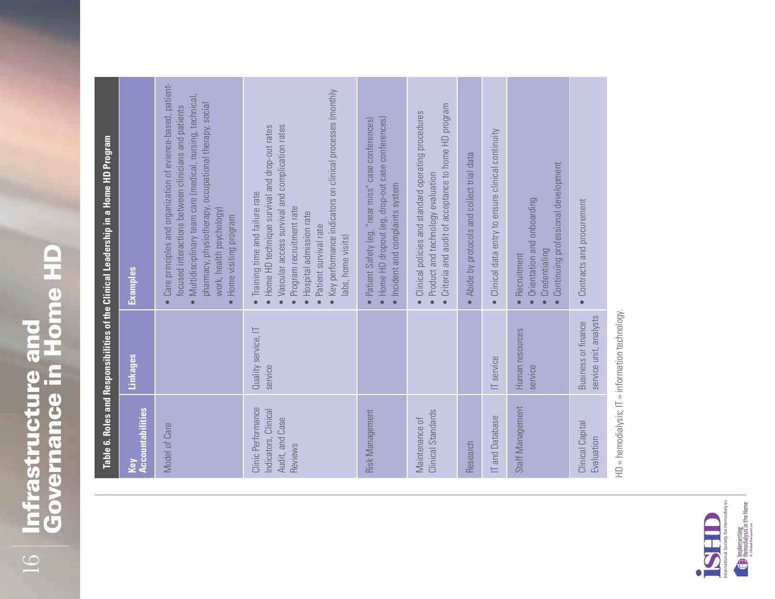|                                                                          |                                                      | Table 6. Roles and Responsibilities of the Clinical Leadership in a Home HD Program                                                                                                                                                                                                                                                                                                |
|--------------------------------------------------------------------------|------------------------------------------------------|------------------------------------------------------------------------------------------------------------------------------------------------------------------------------------------------------------------------------------------------------------------------------------------------------------------------------------------------------------------------------------|
| <b>Accountabilities</b><br>Key                                           | Linkages                                             | Examples                                                                                                                                                                                                                                                                                                                                                                           |
| Model of Care                                                            |                                                      | Care principles and organization of evience-based, patient-<br>Multidisciplinary team care (medical, nursing, technical,<br>pharmacy, physiotherapy, occupational therapy, social<br>focused interactions between clinicians and patients<br>work, health psychology)<br>Home visiting program<br>$\bullet$<br>$\bullet$<br>$\bullet$                                              |
| Clinic Performance<br>Indicators, Clinical<br>Audit, and Case<br>Reviews | Quality service, IT<br>service                       | Key performance indicators on clinical processes (monthly<br>Vascular access survival and complication rates<br>Home HD technique survival and drop-out rates<br>Training time and failure rate<br>Program recruitment rate<br>Hospital admission rate<br>Patient survival rate<br>abs, home visits)<br>$\bullet$<br>$\bullet$<br>$\bullet$<br>$\bullet$<br>$\bullet$<br>$\bullet$ |
| Risk Management                                                          |                                                      | Home HD dropout (eg, drop-out case conferences)<br>Patient Safety (eg, "near miss" case conferences)<br>Incident and complaints system<br>$\bullet$<br>$\bullet$<br>$\bullet$                                                                                                                                                                                                      |
| <b>Clinical Standards</b><br>Maintenance of                              |                                                      | Criteria and audit of acceptance to home HD program<br>Clinical policies and standard operating procedures<br>Product and technology evaluation<br>$\bullet$<br>$\bullet$<br>$\bullet$                                                                                                                                                                                             |
| Research                                                                 |                                                      | Abide by protocols and collect trial data<br>$\bullet$                                                                                                                                                                                                                                                                                                                             |
| <b>IT</b> and Database                                                   | IT service                                           | Clinical data entry to ensure clinical continuity<br>$\bullet$                                                                                                                                                                                                                                                                                                                     |
| Staff Management                                                         | Human resources<br>service                           | Continuing professional development<br>Orientation and onboarding<br>Credentialing<br>Recruitment<br>$\bullet$<br>$\bullet$<br>$\bullet$<br>$\bullet$                                                                                                                                                                                                                              |
| Clinical Capital<br>Evaluation                                           | service unit, analysts<br><b>Business or finance</b> | • Contracts and procurement                                                                                                                                                                                                                                                                                                                                                        |
|                                                                          |                                                      |                                                                                                                                                                                                                                                                                                                                                                                    |

HD = hemodialysis; IT = information technology. HD = hemodialysis; IT = information technology.

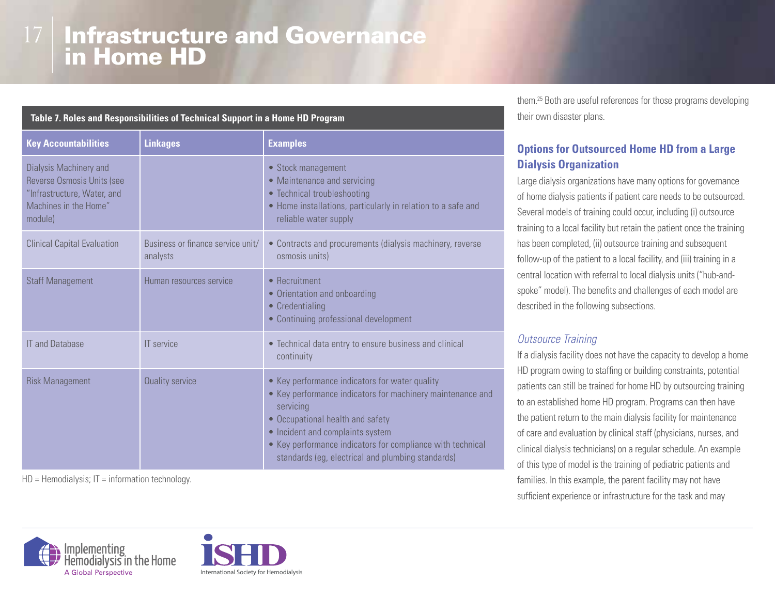| Table 7. Roles and Responsibilities of Technical Support in a Home HD Program                                                  |                                               |                                                                                                                                                                                                                                                                                                                      |  |  |
|--------------------------------------------------------------------------------------------------------------------------------|-----------------------------------------------|----------------------------------------------------------------------------------------------------------------------------------------------------------------------------------------------------------------------------------------------------------------------------------------------------------------------|--|--|
| <b>Key Accountabilities</b>                                                                                                    | <b>Linkages</b>                               | <b>Examples</b>                                                                                                                                                                                                                                                                                                      |  |  |
| Dialysis Machinery and<br><b>Reverse Osmosis Units (see</b><br>"Infrastructure, Water, and<br>Machines in the Home"<br>module) |                                               | • Stock management<br>• Maintenance and servicing<br>• Technical troubleshooting<br>• Home installations, particularly in relation to a safe and<br>reliable water supply                                                                                                                                            |  |  |
| <b>Clinical Capital Evaluation</b>                                                                                             | Business or finance service unit/<br>analysts | • Contracts and procurements (dialysis machinery, reverse<br>osmosis units)                                                                                                                                                                                                                                          |  |  |
| <b>Staff Management</b>                                                                                                        | Human resources service                       | • Recruitment<br>• Orientation and onboarding<br>• Credentialing<br>• Continuing professional development                                                                                                                                                                                                            |  |  |
| <b>IT and Database</b>                                                                                                         | <b>IT</b> service                             | • Technical data entry to ensure business and clinical<br>continuity                                                                                                                                                                                                                                                 |  |  |
| <b>Risk Management</b>                                                                                                         | <b>Quality service</b>                        | • Key performance indicators for water quality<br>• Key performance indicators for machinery maintenance and<br>servicing<br>• Occupational health and safety<br>• Incident and complaints system<br>• Key performance indicators for compliance with technical<br>standards (eg, electrical and plumbing standards) |  |  |

 $HD = Hemodialysis; IT = information technology.$ 

them.25 Both are useful references for those programs developing their own disaster plans.

#### **Options for Outsourced Home HD from a Large Dialysis Organization**

Large dialysis organizations have many options for governance of home dialysis patients if patient care needs to be outsourced. Several models of training could occur, including (i) outsource training to a local facility but retain the patient once the training has been completed, (ii) outsource training and subsequent follow-up of the patient to a local facility, and (iii) training in a central location with referral to local dialysis units ("hub-andspoke" model). The benefits and challenges of each model are described in the following subsections.

#### *Outsource Training*

If a dialysis facility does not have the capacity to develop a home HD program owing to staffing or building constraints, potential patients can still be trained for home HD by outsourcing training to an established home HD program. Programs can then have the patient return to the main dialysis facility for maintenance of care and evaluation by clinical staff (physicians, nurses, and clinical dialysis technicians) on a regular schedule. An example of this type of model is the training of pediatric patients and families. In this example, the parent facility may not have sufficient experience or infrastructure for the task and may



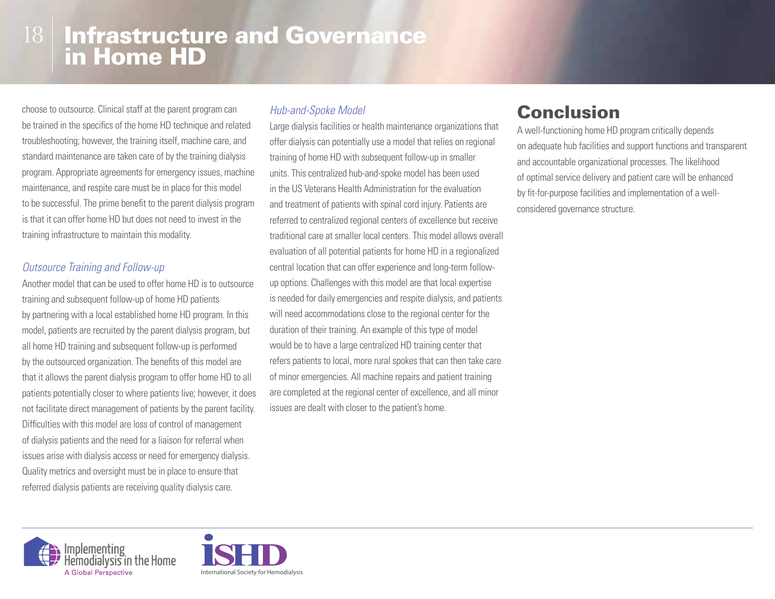choose to outsource. Clinical staff at the parent program can be trained in the specifics of the home HD technique and related troubleshooting; however, the training itself, machine care, and standard maintenance are taken care of by the training dialysis program. Appropriate agreements for emergency issues, machine maintenance, and respite care must be in place for this model to be successful. The prime benefit to the parent dialysis program is that it can offer home HD but does not need to invest in the training infrastructure to maintain this modality.

#### *Outsource Training and Follow-up*

Another model that can be used to offer home HD is to outsource training and subsequent follow-up of home HD patients by partnering with a local established home HD program. In this model, patients are recruited by the parent dialysis program, but all home HD training and subsequent follow-up is performed by the outsourced organization. The benefits of this model are that it allows the parent dialysis program to offer home HD to all patients potentially closer to where patients live; however, it does not facilitate direct management of patients by the parent facility. Difficulties with this model are loss of control of management of dialysis patients and the need for a liaison for referral when issues arise with dialysis access or need for emergency dialysis. Quality metrics and oversight must be in place to ensure that referred dialysis patients are receiving quality dialysis care.

#### *Hub-and-Spoke Model*

Large dialysis facilities or health maintenance organizations that offer dialysis can potentially use a model that relies on regional training of home HD with subsequent follow-up in smaller units. This centralized hub-and-spoke model has been used in the US Veterans Health Administration for the evaluation and treatment of patients with spinal cord injury. Patients are referred to centralized regional centers of excellence but receive traditional care at smaller local centers. This model allows overall evaluation of all potential patients for home HD in a regionalized central location that can offer experience and long-term followup options. Challenges with this model are that local expertise is needed for daily emergencies and respite dialysis, and patients will need accommodations close to the regional center for the duration of their training. An example of this type of model would be to have a large centralized HD training center that refers patients to local, more rural spokes that can then take care of minor emergencies. All machine repairs and patient training are completed at the regional center of excellence, and all minor issues are dealt with closer to the patient's home.

### Conclusion

A well-functioning home HD program critically depends on adequate hub facilities and support functions and transparent and accountable organizational processes. The likelihood of optimal service delivery and patient care will be enhanced by fit-for-purpose facilities and implementation of a wellconsidered governance structure.



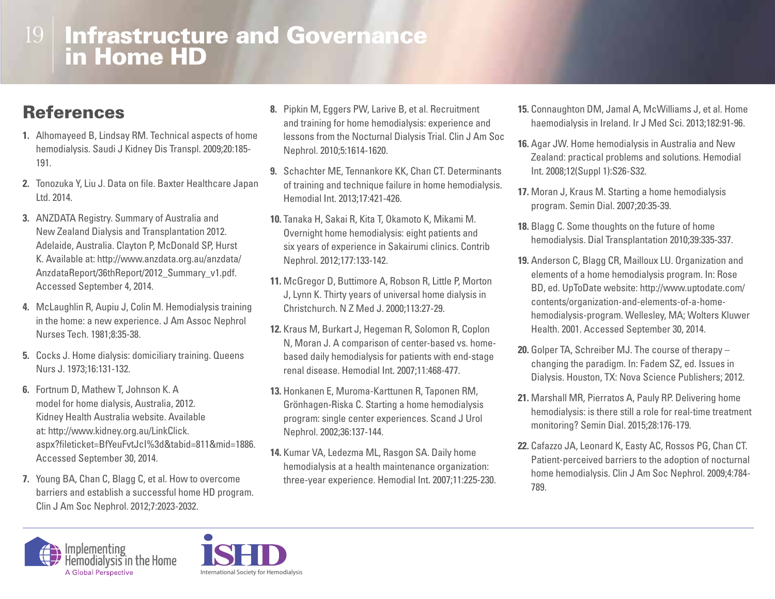### **References**

- **1.** Alhomayeed B, Lindsay RM. Technical aspects of home hemodialysis. Saudi J Kidney Dis Transpl. 2009;20:185- 191.
- **2.** Tonozuka Y, Liu J. Data on file. Baxter Healthcare Japan Ltd. 2014.
- **3.** ANZDATA Registry. Summary of Australia and New Zealand Dialysis and Transplantation 2012. Adelaide, Australia. Clayton P, McDonald SP, Hurst K. Available at: http://www.anzdata.org.au/anzdata/ AnzdataReport/36thReport/2012\_Summary\_v1.pdf. Accessed September 4, 2014.
- **4.** McLaughlin R, Aupiu J, Colin M. Hemodialysis training in the home: a new experience. J Am Assoc Nephrol Nurses Tech. 1981;8:35-38.
- **5.** Cocks J. Home dialysis: domiciliary training. Queens Nurs J. 1973;16:131-132.
- **6.** Fortnum D, Mathew T, Johnson K. A model for home dialysis, Australia, 2012. Kidney Health Australia website. Available at: http://www.kidney.org.au/LinkClick. aspx?fileticket=BfYeuFvtJcI%3d&tabid=811&mid=1886. Accessed September 30, 2014.
- **7.** Young BA, Chan C, Blagg C, et al. How to overcome barriers and establish a successful home HD program. Clin J Am Soc Nephrol. 2012;7:2023-2032.
- **8.** Pipkin M, Eggers PW, Larive B, et al. Recruitment and training for home hemodialysis: experience and lessons from the Nocturnal Dialysis Trial. Clin J Am Soc Nephrol. 2010;5:1614-1620.
- **9.** Schachter ME, Tennankore KK, Chan CT. Determinants of training and technique failure in home hemodialysis. Hemodial Int. 2013;17:421-426.
- **10.** Tanaka H, Sakai R, Kita T, Okamoto K, Mikami M. Overnight home hemodialysis: eight patients and six years of experience in Sakairumi clinics. Contrib Nephrol. 2012;177:133-142.
- **11.** McGregor D, Buttimore A, Robson R, Little P, Morton J, Lynn K. Thirty years of universal home dialysis in Christchurch. N Z Med J. 2000;113:27-29.
- **12.** Kraus M, Burkart J, Hegeman R, Solomon R, Coplon N, Moran J. A comparison of center-based vs. homebased daily hemodialysis for patients with end-stage renal disease. Hemodial Int. 2007;11:468-477.
- **13.** Honkanen E, Muroma-Karttunen R, Taponen RM, Grönhagen-Riska C. Starting a home hemodialysis program: single center experiences. Scand J Urol Nephrol. 2002;36:137-144.
- **14.** Kumar VA, Ledezma ML, Rasgon SA. Daily home hemodialysis at a health maintenance organization: three-year experience. Hemodial Int. 2007;11:225-230.
- **15.** Connaughton DM, Jamal A, McWilliams J, et al. Home haemodialysis in Ireland. Ir J Med Sci. 2013;182:91-96.
- **16.** Agar JW. Home hemodialysis in Australia and New Zealand: practical problems and solutions. Hemodial Int. 2008;12(Suppl 1):S26-S32.
- **17.** Moran J, Kraus M. Starting a home hemodialysis program. Semin Dial. 2007;20:35-39.
- **18.** Blagg C. Some thoughts on the future of home hemodialysis. Dial Transplantation 2010;39:335-337.
- **19.** Anderson C, Blagg CR, Mailloux LU. Organization and elements of a home hemodialysis program. In: Rose BD, ed. UpToDate website: http://www.uptodate.com/ contents/organization-and-elements-of-a-homehemodialysis-program. Wellesley, MA; Wolters Kluwer Health. 2001. Accessed September 30, 2014.
- **20.** Golper TA, Schreiber MJ. The course of therapy changing the paradigm. In: Fadem SZ, ed. Issues in Dialysis. Houston, TX: Nova Science Publishers; 2012.
- **21.** Marshall MR, Pierratos A, Pauly RP. Delivering home hemodialysis: is there still a role for real-time treatment monitoring? Semin Dial. 2015;28:176-179.
- **22.** Cafazzo JA, Leonard K, Easty AC, Rossos PG, Chan CT. Patient-perceived barriers to the adoption of nocturnal home hemodialysis. Clin J Am Soc Nephrol. 2009;4:784- 789.